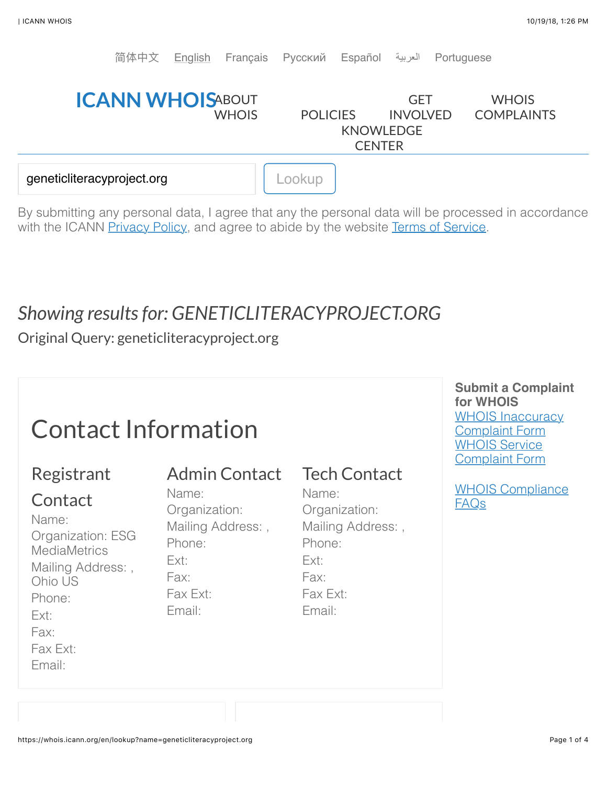

By submitting any personal data, I agree that any the personal data will be processed in accordance with the ICANN [Privacy Policy,](https://www.icann.org/privacy/policy) and agree to abide by the website [Terms of Service](https://www.icann.org/privacy/tos).

# *Showing results for: GENETICLITERACYPROJECT.ORG*

Original Query: geneticliteracyproject.org

# Contact Information

## Registrant

## Admin Contact

**Contact** Name: Organization: ESG **MediaMetrics** Mailing Address: , Ohio US Phone: Ext: Fax: Fax Ext:

Email:

Name: Organization: Mailing Address: , Phone: Ext: Fax: Fax Ext: Email:

## Tech Contact

Name: Organization: Mailing Address: , Phone: Ext: Fax: Fax Ext: Email:

**Submit a Complaint for WHOIS** [WHOIS Inaccuracy](http://www.icann.org/en/resources/compliance/complaints/whois/inaccuracy-form) Complaint Form WHOIS Service [Complaint Form](http://www.icann.org/en/resources/compliance/complaints/whois/service-form)

[WHOIS Compliance](http://www.icann.org/en/resources/compliance/complaints/whois) FAQs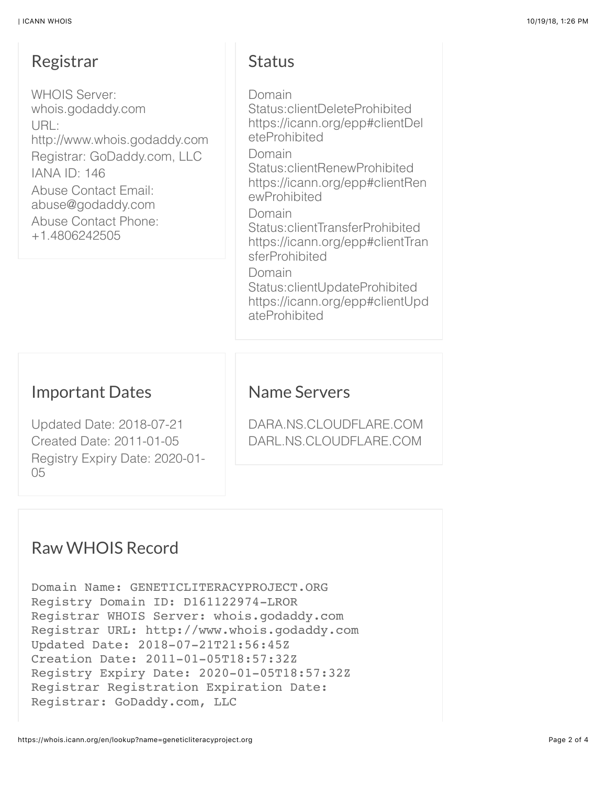#### Registrar

WHOIS Server: whois.godaddy.com URL: http://www.whois.godaddy.com Registrar: GoDaddy.com, LLC IANA ID: 146 Abuse Contact Email: abuse@godaddy.com Abuse Contact Phone: +1.4806242505

### **Status**

Domain Status:clientDeleteProhibited https://icann.org/epp#clientDel eteProhibited Domain Status:clientRenewProhibited https://icann.org/epp#clientRen ewProhibited Domain Status:clientTransferProhibited https://icann.org/epp#clientTran sferProhibited Domain Status:clientUpdateProhibited https://icann.org/epp#clientUpd ateProhibited

#### Important Dates

Updated Date: 2018-07-21 Created Date: 2011-01-05 Registry Expiry Date: 2020-01- 05

#### Name Servers

DARA.NS.CLOUDFLARE.COM DARL.NS.CLOUDFLARE.COM

## Raw WHOIS Record

Domain Name: GENETICLITERACYPROJECT.ORG Registry Domain ID: D161122974-LROR Registrar WHOIS Server: whois.godaddy.com Registrar URL: http://www.whois.godaddy.com Updated Date: 2018-07-21T21:56:45Z Creation Date: 2011-01-05T18:57:32Z Registry Expiry Date: 2020-01-05T18:57:32Z Registrar Registration Expiration Date: Registrar: GoDaddy.com, LLC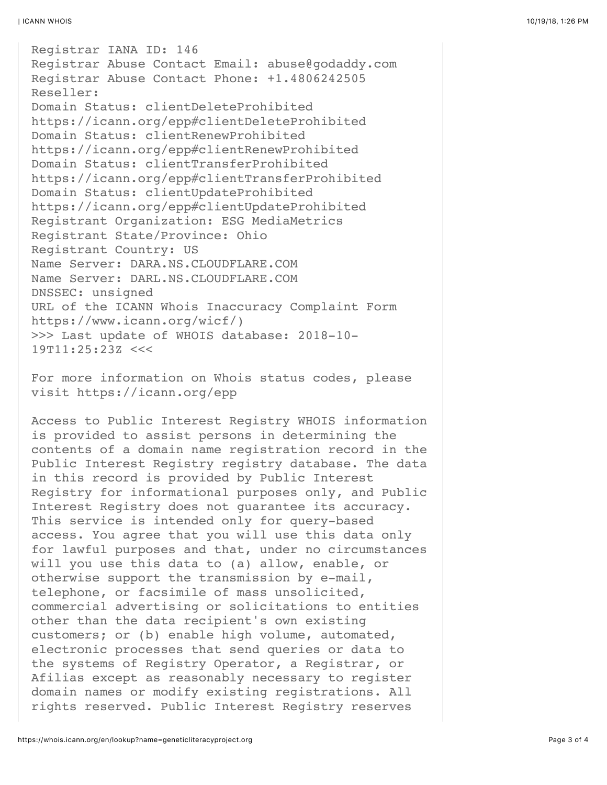Registrar IANA ID: 146 Registrar Abuse Contact Email: abuse@godaddy.com Registrar Abuse Contact Phone: +1.4806242505 Reseller: Domain Status: clientDeleteProhibited https://icann.org/epp#clientDeleteProhibited Domain Status: clientRenewProhibited https://icann.org/epp#clientRenewProhibited Domain Status: clientTransferProhibited https://icann.org/epp#clientTransferProhibited Domain Status: clientUpdateProhibited https://icann.org/epp#clientUpdateProhibited Registrant Organization: ESG MediaMetrics Registrant State/Province: Ohio Registrant Country: US Name Server: DARA.NS.CLOUDFLARE.COM Name Server: DARL.NS.CLOUDFLARE.COM DNSSEC: unsigned URL of the ICANN Whois Inaccuracy Complaint Form https://www.icann.org/wicf/) >>> Last update of WHOIS database: 2018-10- 19T11:25:23Z <<<

For more information on Whois status codes, please visit https://icann.org/epp

Access to Public Interest Registry WHOIS information is provided to assist persons in determining the contents of a domain name registration record in the Public Interest Registry registry database. The data in this record is provided by Public Interest Registry for informational purposes only, and Public Interest Registry does not guarantee its accuracy. This service is intended only for query-based access. You agree that you will use this data only for lawful purposes and that, under no circumstances will you use this data to (a) allow, enable, or otherwise support the transmission by e-mail, telephone, or facsimile of mass unsolicited, commercial advertising or solicitations to entities other than the data recipient's own existing customers; or (b) enable high volume, automated, electronic processes that send queries or data to the systems of Registry Operator, a Registrar, or Afilias except as reasonably necessary to register domain names or modify existing registrations. All rights reserved. Public Interest Registry reserves